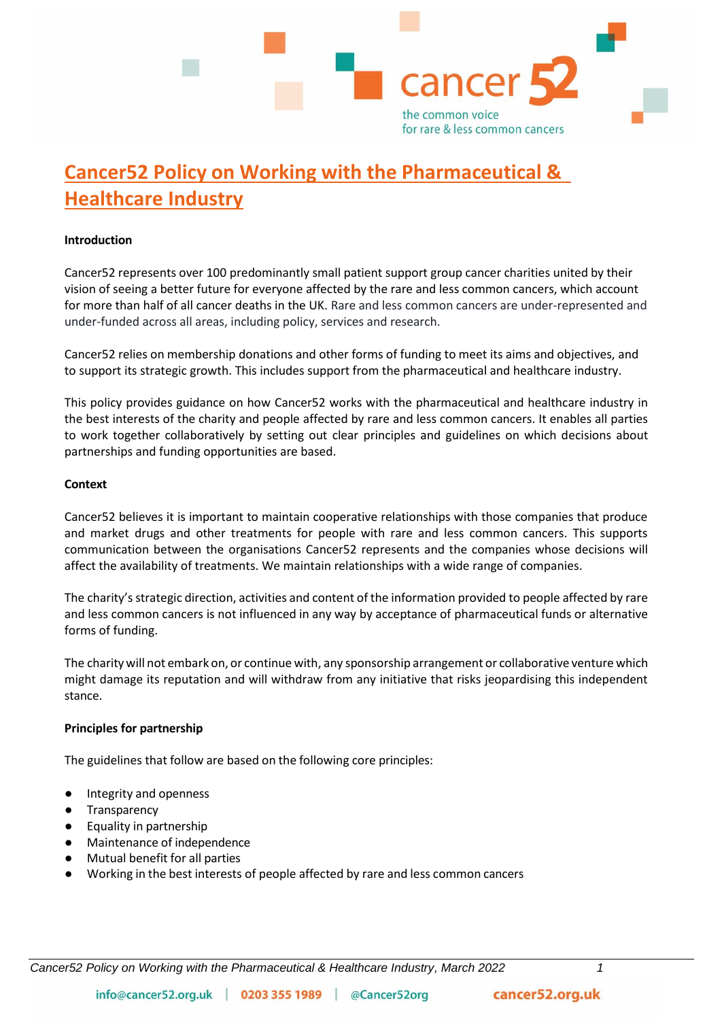

# **Cancer52 Policy on Working with the Pharmaceutical & Healthcare Industry**

#### **Introduction**

Cancer52 represents over 100 predominantly small patient support group cancer charities united by their vision of seeing a better future for everyone affected by the rare and less common cancers, which account for more than half of all cancer deaths in the UK. Rare and less common cancers are under-represented and under-funded across all areas, including policy, services and research.

Cancer52 relies on membership donations and other forms of funding to meet its aims and objectives, and to support its strategic growth. This includes support from the pharmaceutical and healthcare industry.

This policy provides guidance on how Cancer52 works with the pharmaceutical and healthcare industry in the best interests of the charity and people affected by rare and less common cancers. It enables all parties to work together collaboratively by setting out clear principles and guidelines on which decisions about partnerships and funding opportunities are based.

### **Context**

Cancer52 believes it is important to maintain cooperative relationships with those companies that produce and market drugs and other treatments for people with rare and less common cancers. This supports communication between the organisations Cancer52 represents and the companies whose decisions will affect the availability of treatments. We maintain relationships with a wide range of companies.

The charity's strategic direction, activities and content of the information provided to people affected by rare and less common cancers is not influenced in any way by acceptance of pharmaceutical funds or alternative forms of funding.

The charity will not embark on, or continue with, any sponsorship arrangement or collaborative venture which might damage its reputation and will withdraw from any initiative that risks jeopardising this independent stance.

## **Principles for partnership**

The guidelines that follow are based on the following core principles:

- Integrity and openness
- Transparency
- **Equality in partnership**
- Maintenance of independence
- Mutual benefit for all parties
- Working in the best interests of people affected by rare and less common cancers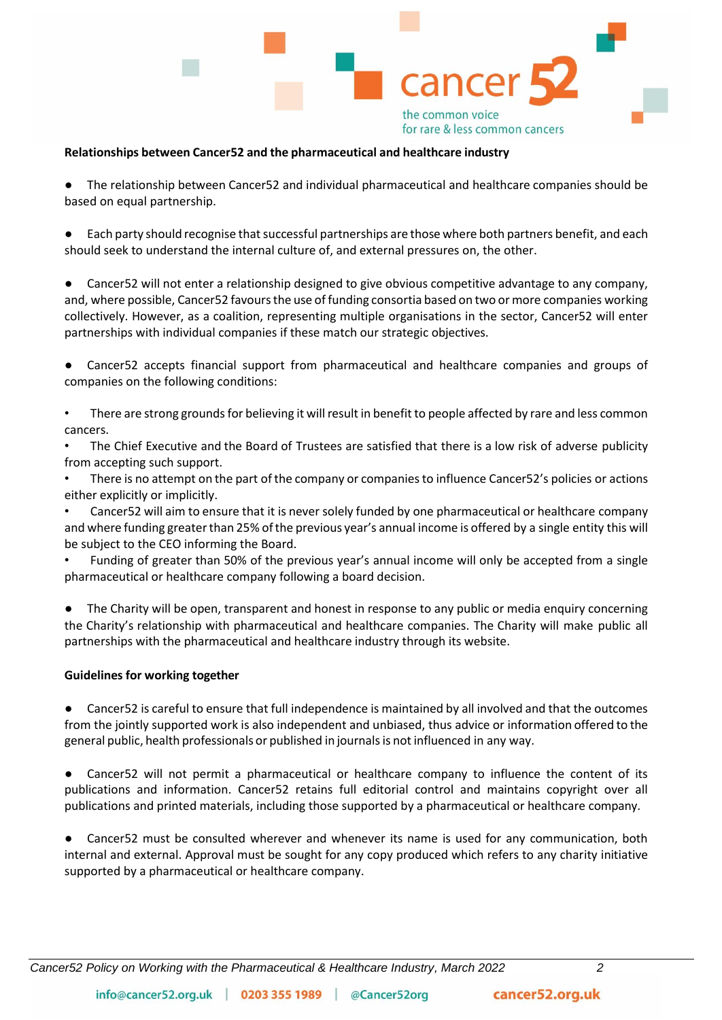

#### **Relationships between Cancer52 and the pharmaceutical and healthcare industry**

The relationship between Cancer52 and individual pharmaceutical and healthcare companies should be based on equal partnership.

Each party should recognise that successful partnerships are those where both partners benefit, and each should seek to understand the internal culture of, and external pressures on, the other.

● Cancer52 will not enter a relationship designed to give obvious competitive advantage to any company, and, where possible, Cancer52 favours the use of funding consortia based on two or more companies working collectively. However, as a coalition, representing multiple organisations in the sector, Cancer52 will enter partnerships with individual companies if these match our strategic objectives.

Cancer52 accepts financial support from pharmaceutical and healthcare companies and groups of companies on the following conditions:

• There are strong grounds for believing it will result in benefit to people affected by rare and less common cancers.

The Chief Executive and the Board of Trustees are satisfied that there is a low risk of adverse publicity from accepting such support.

There is no attempt on the part of the company or companies to influence Cancer52's policies or actions either explicitly or implicitly.

• Cancer52 will aim to ensure that it is never solely funded by one pharmaceutical or healthcare company and where funding greaterthan 25% ofthe previous year's annual income is offered by a single entity this will be subject to the CEO informing the Board.

• Funding of greater than 50% of the previous year's annual income will only be accepted from a single pharmaceutical or healthcare company following a board decision.

The Charity will be open, transparent and honest in response to any public or media enquiry concerning the Charity's relationship with pharmaceutical and healthcare companies. The Charity will make public all partnerships with the pharmaceutical and healthcare industry through its website.

#### **Guidelines for working together**

Cancer52 is careful to ensure that full independence is maintained by all involved and that the outcomes from the jointly supported work is also independent and unbiased, thus advice or information offered to the general public, health professionals or published in journalsis not influenced in any way.

● Cancer52 will not permit a pharmaceutical or healthcare company to influence the content of its publications and information. Cancer52 retains full editorial control and maintains copyright over all publications and printed materials, including those supported by a pharmaceutical or healthcare company.

Cancer52 must be consulted wherever and whenever its name is used for any communication, both internal and external. Approval must be sought for any copy produced which refers to any charity initiative supported by a pharmaceutical or healthcare company.